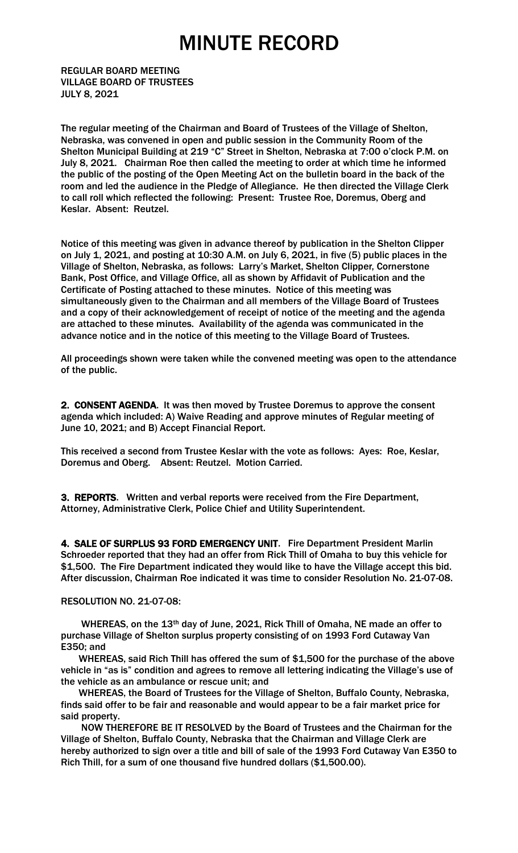REGULAR BOARD MEETING VILLAGE BOARD OF TRUSTEES JULY 8, 2021

The regular meeting of the Chairman and Board of Trustees of the Village of Shelton, Nebraska, was convened in open and public session in the Community Room of the Shelton Municipal Building at 219 "C" Street in Shelton, Nebraska at 7:00 o'clock P.M. on July 8, 2021. Chairman Roe then called the meeting to order at which time he informed the public of the posting of the Open Meeting Act on the bulletin board in the back of the room and led the audience in the Pledge of Allegiance. He then directed the Village Clerk to call roll which reflected the following: Present: Trustee Roe, Doremus, Oberg and Keslar. Absent: Reutzel.

Notice of this meeting was given in advance thereof by publication in the Shelton Clipper on July 1, 2021, and posting at 10:30 A.M. on July 6, 2021, in five (5) public places in the Village of Shelton, Nebraska, as follows: Larry's Market, Shelton Clipper, Cornerstone Bank, Post Office, and Village Office, all as shown by Affidavit of Publication and the Certificate of Posting attached to these minutes. Notice of this meeting was simultaneously given to the Chairman and all members of the Village Board of Trustees and a copy of their acknowledgement of receipt of notice of the meeting and the agenda are attached to these minutes. Availability of the agenda was communicated in the advance notice and in the notice of this meeting to the Village Board of Trustees.

All proceedings shown were taken while the convened meeting was open to the attendance of the public.

2. CONSENT AGENDA. It was then moved by Trustee Doremus to approve the consent agenda which included: A) Waive Reading and approve minutes of Regular meeting of June 10, 2021; and B) Accept Financial Report.

This received a second from Trustee Keslar with the vote as follows: Ayes: Roe, Keslar, Doremus and Oberg. Absent: Reutzel. Motion Carried.

3. REPORTS. Written and verbal reports were received from the Fire Department, Attorney, Administrative Clerk, Police Chief and Utility Superintendent.

4. SALE OF SURPLUS 93 FORD EMERGENCY UNIT. Fire Department President Marlin Schroeder reported that they had an offer from Rick Thill of Omaha to buy this vehicle for \$1,500. The Fire Department indicated they would like to have the Village accept this bid. After discussion, Chairman Roe indicated it was time to consider Resolution No. 21-07-08.

#### RESOLUTION NO. 21-07-08:

 WHEREAS, on the 13th day of June, 2021, Rick Thill of Omaha, NE made an offer to purchase Village of Shelton surplus property consisting of on 1993 Ford Cutaway Van E350; and

 WHEREAS, said Rich Thill has offered the sum of \$1,500 for the purchase of the above vehicle in "as is" condition and agrees to remove all lettering indicating the Village's use of the vehicle as an ambulance or rescue unit; and

 WHEREAS, the Board of Trustees for the Village of Shelton, Buffalo County, Nebraska, finds said offer to be fair and reasonable and would appear to be a fair market price for said property.

 NOW THEREFORE BE IT RESOLVED by the Board of Trustees and the Chairman for the Village of Shelton, Buffalo County, Nebraska that the Chairman and Village Clerk are hereby authorized to sign over a title and bill of sale of the 1993 Ford Cutaway Van E350 to Rich Thill, for a sum of one thousand five hundred dollars (\$1,500.00).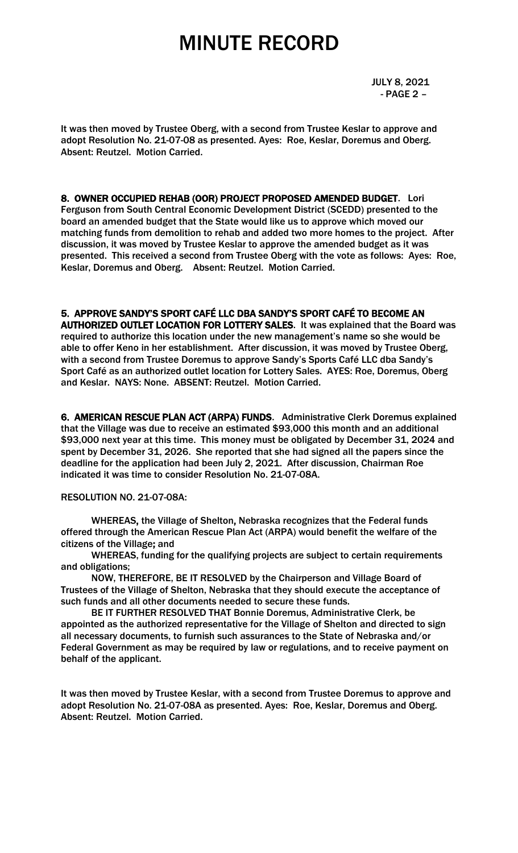JULY 8, 2021 - PAGE 2 –

It was then moved by Trustee Oberg, with a second from Trustee Keslar to approve and adopt Resolution No. 21-07-08 as presented. Ayes: Roe, Keslar, Doremus and Oberg. Absent: Reutzel. Motion Carried.

8. OWNER OCCUPIED REHAB (OOR) PROJECT PROPOSED AMENDED BUDGET. Lori Ferguson from South Central Economic Development District (SCEDD) presented to the board an amended budget that the State would like us to approve which moved our matching funds from demolition to rehab and added two more homes to the project. After discussion, it was moved by Trustee Keslar to approve the amended budget as it was presented. This received a second from Trustee Oberg with the vote as follows: Ayes: Roe, Keslar, Doremus and Oberg. Absent: Reutzel. Motion Carried.

5. APPROVE SANDY'S SPORT CAFÉ LLC DBA SANDY'S SPORT CAFÉ TO BECOME AN AUTHORIZED OUTLET LOCATION FOR LOTTERY SALES. It was explained that the Board was required to authorize this location under the new management's name so she would be able to offer Keno in her establishment. After discussion, it was moved by Trustee Oberg, with a second from Trustee Doremus to approve Sandy's Sports Café LLC dba Sandy's Sport Café as an authorized outlet location for Lottery Sales. AYES: Roe, Doremus, Oberg and Keslar. NAYS: None. ABSENT: Reutzel. Motion Carried.

6. AMERICAN RESCUE PLAN ACT (ARPA) FUNDS. Administrative Clerk Doremus explained that the Village was due to receive an estimated \$93,000 this month and an additional \$93,000 next year at this time. This money must be obligated by December 31, 2024 and spent by December 31, 2026. She reported that she had signed all the papers since the deadline for the application had been July 2, 2021. After discussion, Chairman Roe indicated it was time to consider Resolution No. 21-07-08A.

RESOLUTION NO. 21-07-08A:

 WHEREAS, the Village of Shelton, Nebraska recognizes that the Federal funds offered through the American Rescue Plan Act (ARPA) would benefit the welfare of the citizens of the Village; and

WHEREAS, funding for the qualifying projects are subject to certain requirements and obligations;

NOW, THEREFORE, BE IT RESOLVED by the Chairperson and Village Board of Trustees of the Village of Shelton, Nebraska that they should execute the acceptance of such funds and all other documents needed to secure these funds.

 BE IT FURTHER RESOLVED THAT Bonnie Doremus, Administrative Clerk, be appointed as the authorized representative for the Village of Shelton and directed to sign all necessary documents, to furnish such assurances to the State of Nebraska and/or Federal Government as may be required by law or regulations, and to receive payment on behalf of the applicant.

It was then moved by Trustee Keslar, with a second from Trustee Doremus to approve and adopt Resolution No. 21-07-08A as presented. Ayes: Roe, Keslar, Doremus and Oberg. Absent: Reutzel. Motion Carried.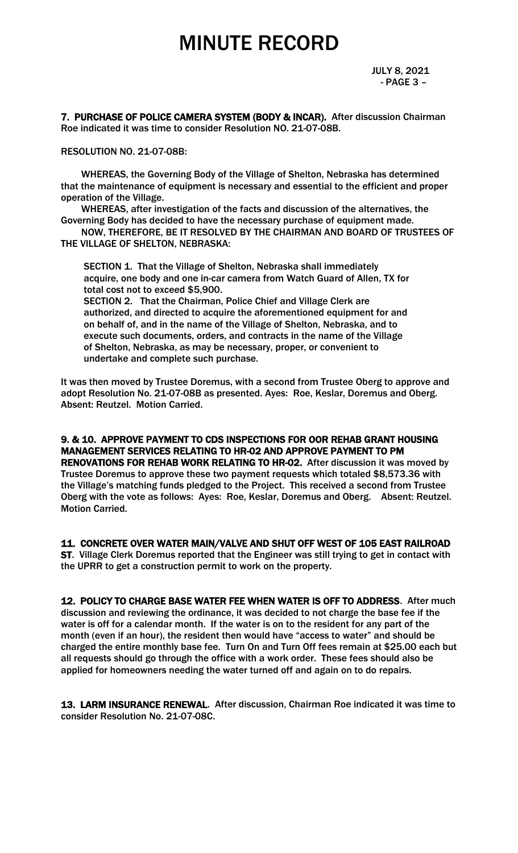JULY 8, 2021 - PAGE 3 –

7. PURCHASE OF POLICE CAMERA SYSTEM (BODY & INCAR). After discussion Chairman Roe indicated it was time to consider Resolution NO. 21-07-08B.

RESOLUTION NO. 21-07-08B:

 WHEREAS, the Governing Body of the Village of Shelton, Nebraska has determined that the maintenance of equipment is necessary and essential to the efficient and proper operation of the Village.

 WHEREAS, after investigation of the facts and discussion of the alternatives, the Governing Body has decided to have the necessary purchase of equipment made.

 NOW, THEREFORE, BE IT RESOLVED BY THE CHAIRMAN AND BOARD OF TRUSTEES OF THE VILLAGE OF SHELTON, NEBRASKA:

 SECTION 1. That the Village of Shelton, Nebraska shall immediately acquire, one body and one in-car camera from Watch Guard of Allen, TX for total cost not to exceed \$5,900.

 SECTION 2. That the Chairman, Police Chief and Village Clerk are authorized, and directed to acquire the aforementioned equipment for and on behalf of, and in the name of the Village of Shelton, Nebraska, and to execute such documents, orders, and contracts in the name of the Village of Shelton, Nebraska, as may be necessary, proper, or convenient to undertake and complete such purchase.

It was then moved by Trustee Doremus, with a second from Trustee Oberg to approve and adopt Resolution No. 21-07-08B as presented. Ayes: Roe, Keslar, Doremus and Oberg. Absent: Reutzel. Motion Carried.

9. & 10. APPROVE PAYMENT TO CDS INSPECTIONS FOR OOR REHAB GRANT HOUSING MANAGEMENT SERVICES RELATING TO HR-02 AND APPROVE PAYMENT TO PM RENOVATIONS FOR REHAB WORK RELATING TO HR-02. After discussion it was moved by Trustee Doremus to approve these two payment requests which totaled \$8,573.36 with the Village's matching funds pledged to the Project. This received a second from Trustee Oberg with the vote as follows: Ayes: Roe, Keslar, Doremus and Oberg. Absent: Reutzel. Motion Carried.

11. CONCRETE OVER WATER MAIN/VALVE AND SHUT OFF WEST OF 105 EAST RAILROAD

ST. Village Clerk Doremus reported that the Engineer was still trying to get in contact with the UPRR to get a construction permit to work on the property.

12. POLICY TO CHARGE BASE WATER FEE WHEN WATER IS OFF TO ADDRESS. After much discussion and reviewing the ordinance, it was decided to not charge the base fee if the water is off for a calendar month. If the water is on to the resident for any part of the month (even if an hour), the resident then would have "access to water" and should be charged the entire monthly base fee. Turn On and Turn Off fees remain at \$25.00 each but all requests should go through the office with a work order. These fees should also be applied for homeowners needing the water turned off and again on to do repairs.

13. LARM INSURANCE RENEWAL. After discussion, Chairman Roe indicated it was time to consider Resolution No. 21-07-08C.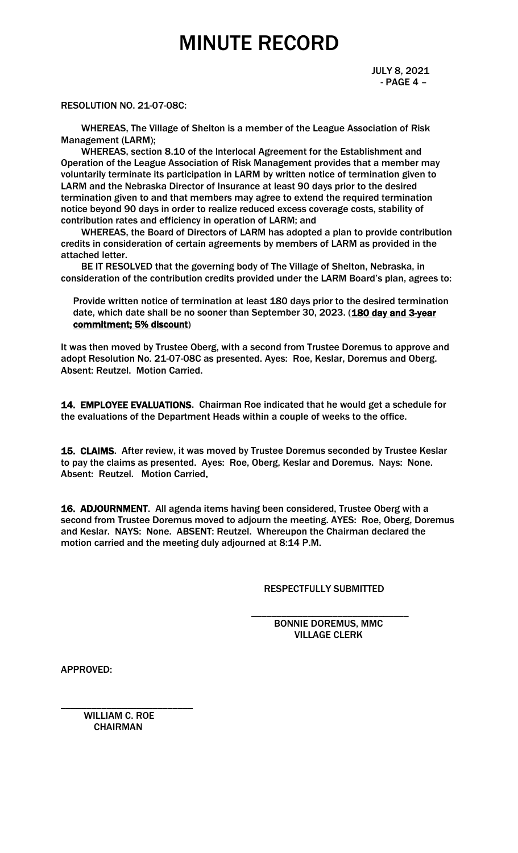#### RESOLUTION NO. 21-07-08C:

 WHEREAS, The Village of Shelton is a member of the League Association of Risk Management (LARM);

 WHEREAS, section 8.10 of the lnterlocal Agreement for the Establishment and Operation of the League Association of Risk Management provides that a member may voluntarily terminate its participation in LARM by written notice of termination given to LARM and the Nebraska Director of Insurance at least 90 days prior to the desired termination given to and that members may agree to extend the required termination notice beyond 90 days in order to realize reduced excess coverage costs, stability of contribution rates and efficiency in operation of LARM; and

 WHEREAS, the Board of Directors of LARM has adopted a plan to provide contribution credits in consideration of certain agreements by members of LARM as provided in the attached letter.

 BE IT RESOLVED that the governing body of The Village of Shelton, Nebraska, in consideration of the contribution credits provided under the LARM Board's plan, agrees to:

Provide written notice of termination at least 180 days prior to the desired termination date, which date shall be no sooner than September 30, 2023. (180 day and 3-year commitment; 5% discount)

It was then moved by Trustee Oberg, with a second from Trustee Doremus to approve and adopt Resolution No. 21-07-08C as presented. Ayes: Roe, Keslar, Doremus and Oberg. Absent: Reutzel. Motion Carried.

14. EMPLOYEE EVALUATIONS. Chairman Roe indicated that he would get a schedule for the evaluations of the Department Heads within a couple of weeks to the office.

15. CLAIMS. After review, it was moved by Trustee Doremus seconded by Trustee Keslar to pay the claims as presented. Ayes: Roe, Oberg, Keslar and Doremus. Nays: None. Absent: Reutzel. Motion Carried.

16. ADJOURNMENT. All agenda items having been considered, Trustee Oberg with a second from Trustee Doremus moved to adjourn the meeting. AYES: Roe, Oberg, Doremus and Keslar. NAYS: None. ABSENT: Reutzel. Whereupon the Chairman declared the motion carried and the meeting duly adjourned at 8:14 P.M.

 $\overline{\phantom{a}}$  , and the contract of the contract of the contract of the contract of the contract of the contract of the contract of the contract of the contract of the contract of the contract of the contract of the contrac

#### RESPECTFULLY SUBMITTED

 BONNIE DOREMUS, MMC VILLAGE CLERK

APPROVED:

 WILLIAM C. ROE **CHAIRMAN** 

\_\_\_\_\_\_\_\_\_\_\_\_\_\_\_\_\_\_\_\_\_\_\_\_\_\_